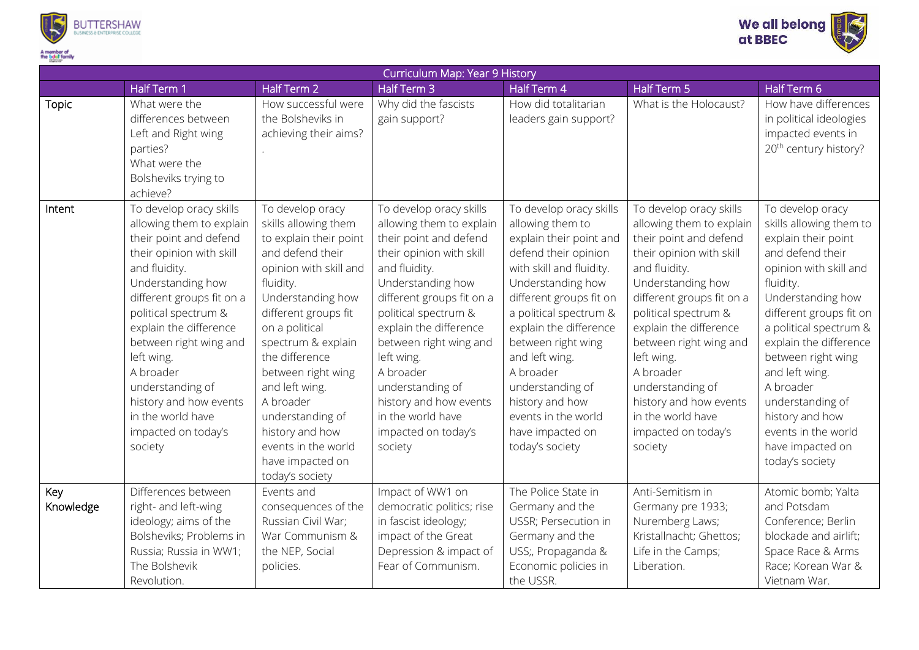



| Curriculum Map: Year 9 History |                                                                                                                                                                                                                                                                                                                                                                                          |                                                                                                                                                                                                                                                                                                                                                                                                |                                                                                                                                                                                                                                                                                                                                                                                          |                                                                                                                                                                                                                                                                                                                                                                                          |                                                                                                                                                                                                                                                                                                                                                                                          |                                                                                                                                                                                                                                                                                                                                                                                             |  |
|--------------------------------|------------------------------------------------------------------------------------------------------------------------------------------------------------------------------------------------------------------------------------------------------------------------------------------------------------------------------------------------------------------------------------------|------------------------------------------------------------------------------------------------------------------------------------------------------------------------------------------------------------------------------------------------------------------------------------------------------------------------------------------------------------------------------------------------|------------------------------------------------------------------------------------------------------------------------------------------------------------------------------------------------------------------------------------------------------------------------------------------------------------------------------------------------------------------------------------------|------------------------------------------------------------------------------------------------------------------------------------------------------------------------------------------------------------------------------------------------------------------------------------------------------------------------------------------------------------------------------------------|------------------------------------------------------------------------------------------------------------------------------------------------------------------------------------------------------------------------------------------------------------------------------------------------------------------------------------------------------------------------------------------|---------------------------------------------------------------------------------------------------------------------------------------------------------------------------------------------------------------------------------------------------------------------------------------------------------------------------------------------------------------------------------------------|--|
|                                | Half Term 1                                                                                                                                                                                                                                                                                                                                                                              | Half Term 2                                                                                                                                                                                                                                                                                                                                                                                    | Half Term 3                                                                                                                                                                                                                                                                                                                                                                              | Half Term 4                                                                                                                                                                                                                                                                                                                                                                              | <b>Half Term 5</b>                                                                                                                                                                                                                                                                                                                                                                       | Half Term 6                                                                                                                                                                                                                                                                                                                                                                                 |  |
| <b>Topic</b>                   | What were the<br>differences between<br>Left and Right wing<br>parties?<br>What were the<br>Bolsheviks trying to<br>achieve?                                                                                                                                                                                                                                                             | How successful were<br>the Bolsheviks in<br>achieving their aims?                                                                                                                                                                                                                                                                                                                              | Why did the fascists<br>gain support?                                                                                                                                                                                                                                                                                                                                                    | How did totalitarian<br>leaders gain support?                                                                                                                                                                                                                                                                                                                                            | What is the Holocaust?                                                                                                                                                                                                                                                                                                                                                                   | How have differences<br>in political ideologies<br>impacted events in<br>20 <sup>th</sup> century history?                                                                                                                                                                                                                                                                                  |  |
| Intent                         | To develop oracy skills<br>allowing them to explain<br>their point and defend<br>their opinion with skill<br>and fluidity.<br>Understanding how<br>different groups fit on a<br>political spectrum &<br>explain the difference<br>between right wing and<br>left wing.<br>A broader<br>understanding of<br>history and how events<br>in the world have<br>impacted on today's<br>society | To develop oracy<br>skills allowing them<br>to explain their point<br>and defend their<br>opinion with skill and<br>fluidity.<br>Understanding how<br>different groups fit<br>on a political<br>spectrum & explain<br>the difference<br>between right wing<br>and left wing.<br>A broader<br>understanding of<br>history and how<br>events in the world<br>have impacted on<br>today's society | To develop oracy skills<br>allowing them to explain<br>their point and defend<br>their opinion with skill<br>and fluidity.<br>Understanding how<br>different groups fit on a<br>political spectrum &<br>explain the difference<br>between right wing and<br>left wing.<br>A broader<br>understanding of<br>history and how events<br>in the world have<br>impacted on today's<br>society | To develop oracy skills<br>allowing them to<br>explain their point and<br>defend their opinion<br>with skill and fluidity.<br>Understanding how<br>different groups fit on<br>a political spectrum &<br>explain the difference<br>between right wing<br>and left wing.<br>A broader<br>understanding of<br>history and how<br>events in the world<br>have impacted on<br>today's society | To develop oracy skills<br>allowing them to explain<br>their point and defend<br>their opinion with skill<br>and fluidity.<br>Understanding how<br>different groups fit on a<br>political spectrum &<br>explain the difference<br>between right wing and<br>left wing.<br>A broader<br>understanding of<br>history and how events<br>in the world have<br>impacted on today's<br>society | To develop oracy<br>skills allowing them to<br>explain their point<br>and defend their<br>opinion with skill and<br>fluidity.<br>Understanding how<br>different groups fit on<br>a political spectrum &<br>explain the difference<br>between right wing<br>and left wing.<br>A broader<br>understanding of<br>history and how<br>events in the world<br>have impacted on<br>today's society |  |
| Key<br>Knowledge               | Differences between<br>right- and left-wing<br>ideology; aims of the<br>Bolsheviks; Problems in<br>Russia; Russia in WW1;<br>The Bolshevik<br>Revolution.                                                                                                                                                                                                                                | Events and<br>consequences of the<br>Russian Civil War;<br>War Communism &<br>the NEP, Social<br>policies.                                                                                                                                                                                                                                                                                     | Impact of WW1 on<br>democratic politics; rise<br>in fascist ideology;<br>impact of the Great<br>Depression & impact of<br>Fear of Communism.                                                                                                                                                                                                                                             | The Police State in<br>Germany and the<br>USSR; Persecution in<br>Germany and the<br>USS;, Propaganda &<br>Economic policies in<br>the USSR.                                                                                                                                                                                                                                             | Anti-Semitism in<br>Germany pre 1933;<br>Nuremberg Laws;<br>Kristallnacht; Ghettos;<br>Life in the Camps;<br>Liberation.                                                                                                                                                                                                                                                                 | Atomic bomb; Yalta<br>and Potsdam<br>Conference; Berlin<br>blockade and airlift;<br>Space Race & Arms<br>Race; Korean War &<br>Vietnam War.                                                                                                                                                                                                                                                 |  |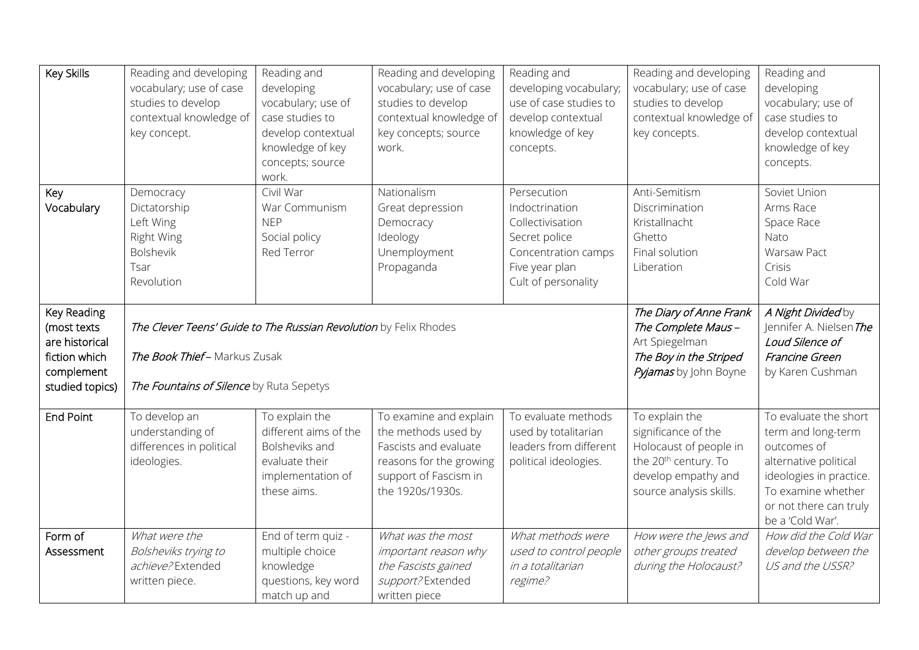| Key Skills                                                                                     | Reading and developing<br>vocabulary; use of case<br>studies to develop<br>contextual knowledge of<br>key concept.                           | Reading and<br>developing<br>vocabulary; use of<br>case studies to<br>develop contextual<br>knowledge of key<br>concepts; source<br>work. | Reading and developing<br>vocabulary; use of case<br>studies to develop<br>contextual knowledge of<br>key concepts; source<br>work.            | Reading and<br>developing vocabulary;<br>use of case studies to<br>develop contextual<br>knowledge of key<br>concepts.             | Reading and developing<br>vocabulary; use of case<br>studies to develop<br>contextual knowledge of<br>key concepts.                                   | Reading and<br>developing<br>vocabulary; use of<br>case studies to<br>develop contextual<br>knowledge of key<br>concepts.                                                          |
|------------------------------------------------------------------------------------------------|----------------------------------------------------------------------------------------------------------------------------------------------|-------------------------------------------------------------------------------------------------------------------------------------------|------------------------------------------------------------------------------------------------------------------------------------------------|------------------------------------------------------------------------------------------------------------------------------------|-------------------------------------------------------------------------------------------------------------------------------------------------------|------------------------------------------------------------------------------------------------------------------------------------------------------------------------------------|
| Key<br>Vocabulary                                                                              | Democracy<br>Dictatorship<br>Left Wing<br>Right Wing<br><b>Bolshevik</b><br>Tsar<br>Revolution                                               | Civil War<br>War Communism<br><b>NEP</b><br>Social policy<br>Red Terror                                                                   | Nationalism<br>Great depression<br>Democracy<br>Ideology<br>Unemployment<br>Propaganda                                                         | Persecution<br>Indoctrination<br>Collectivisation<br>Secret police<br>Concentration camps<br>Five year plan<br>Cult of personality | Anti-Semitism<br>Discrimination<br>Kristallnacht<br>Ghetto<br>Final solution<br>Liberation                                                            | Soviet Union<br>Arms Race<br>Space Race<br>Nato<br>Warsaw Pact<br>Crisis<br>Cold War                                                                                               |
| Key Reading<br>(most texts<br>are historical<br>fiction which<br>complement<br>studied topics) | The Clever Teens' Guide to The Russian Revolution by Felix Rhodes<br>The Book Thief-Markus Zusak<br>The Fountains of Silence by Ruta Sepetys |                                                                                                                                           |                                                                                                                                                |                                                                                                                                    | The Diary of Anne Frank<br>The Complete Maus-<br>Art Spiegelman<br>The Boy in the Striped<br>Pyjamas by John Boyne                                    | A Night Divided by<br>Jennifer A. Nielsen The<br>Loud Silence of<br>Francine Green<br>by Karen Cushman                                                                             |
| <b>End Point</b>                                                                               | To develop an<br>understanding of<br>differences in political<br>ideologies.                                                                 | To explain the<br>different aims of the<br>Bolsheviks and<br>evaluate their<br>implementation of<br>these aims.                           | To examine and explain<br>the methods used by<br>Fascists and evaluate<br>reasons for the growing<br>support of Fascism in<br>the 1920s/1930s. | To evaluate methods<br>used by totalitarian<br>leaders from different<br>political ideologies.                                     | To explain the<br>significance of the<br>Holocaust of people in<br>the 20 <sup>th</sup> century. To<br>develop empathy and<br>source analysis skills. | To evaluate the short<br>term and long-term<br>outcomes of<br>alternative political<br>ideologies in practice.<br>To examine whether<br>or not there can truly<br>be a 'Cold War'. |
| Form of<br>Assessment                                                                          | What were the<br>Bolsheviks trying to<br>achieve?Extended<br>written piece.                                                                  | End of term quiz -<br>multiple choice<br>knowledge<br>questions, key word<br>match up and                                                 | What was the most<br>important reason why<br>the Fascists gained<br>support?Extended<br>written piece                                          | What methods were<br>used to control people<br>in a totalitarian<br>regime?                                                        | How were the Jews and<br>other groups treated<br>during the Holocaust?                                                                                | How did the Cold War<br>develop between the<br>US and the USSR?                                                                                                                    |